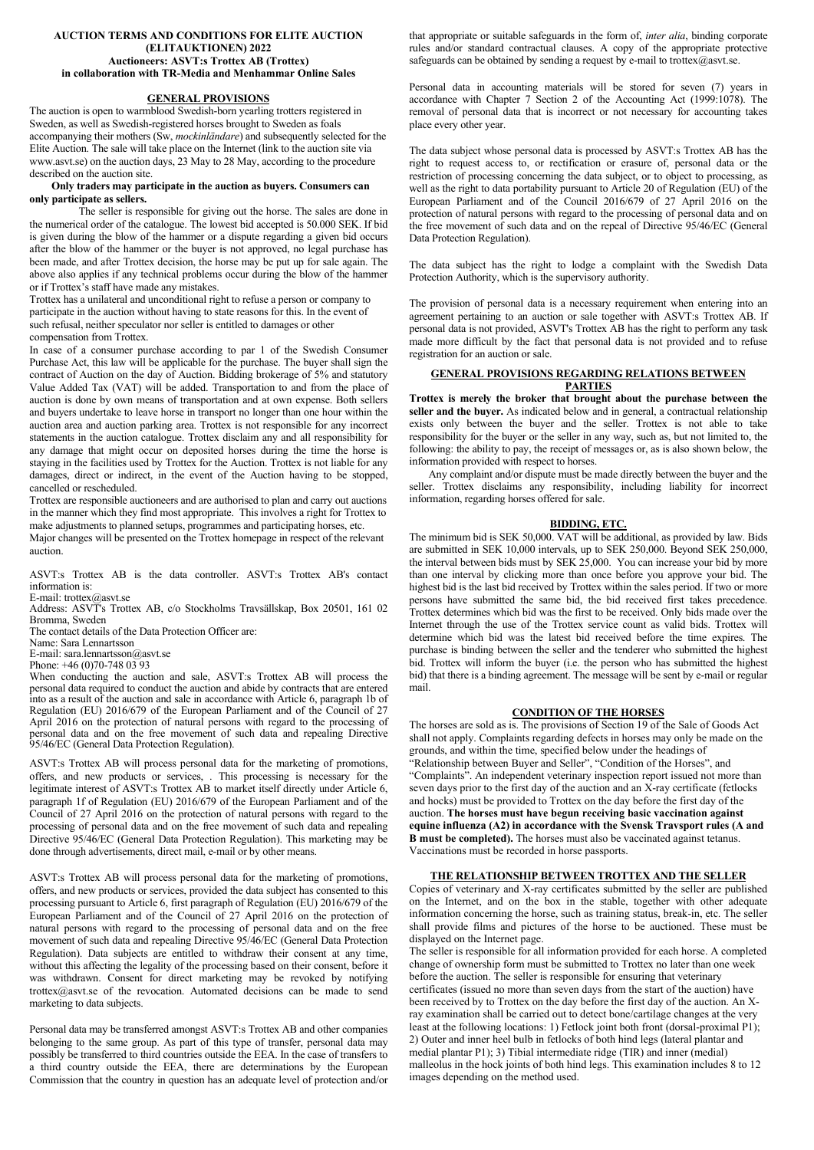#### **AUCTION TERMS AND CONDITIONS FOR ELITE AUCTION (ELITAUKTIONEN) 2022 Auctioneers: ASVT:s Trottex AB (Trottex) in collaboration with TR-Media and Menhammar Online Sales**

## **GENERAL PROVISIONS**

The auction is open to warmblood Swedish-born yearling trotters registered in Sweden, as well as Swedish-registered horses brought to Sweden as foals accompanying their mothers (Sw, *mockinländare*) and subsequently selected for the Elite Auction. The sale will take place on the Internet (link to the auction site via www.asvt.se) on the auction days, 23 May to 28 May, according to the procedure described on the auction site.

#### **Only traders may participate in the auction as buyers. Consumers can only participate as sellers.**

The seller is responsible for giving out the horse. The sales are done in the numerical order of the catalogue. The lowest bid accepted is 50.000 SEK. If bid is given during the blow of the hammer or a dispute regarding a given bid occurs after the blow of the hammer or the buyer is not approved, no legal purchase has been made, and after Trottex decision, the horse may be put up for sale again. The above also applies if any technical problems occur during the blow of the hammer or if Trottex's staff have made any mistakes.

Trottex has a unilateral and unconditional right to refuse a person or company to participate in the auction without having to state reasons for this. In the event of such refusal, neither speculator nor seller is entitled to damages or other compensation from Trottex.

In case of a consumer purchase according to par 1 of the Swedish Consumer Purchase Act, this law will be applicable for the purchase. The buyer shall sign the contract of Auction on the day of Auction. Bidding brokerage of 5% and statutory Value Added Tax (VAT) will be added. Transportation to and from the place of auction is done by own means of transportation and at own expense. Both sellers and buyers undertake to leave horse in transport no longer than one hour within the auction area and auction parking area. Trottex is not responsible for any incorrect statements in the auction catalogue. Trottex disclaim any and all responsibility for any damage that might occur on deposited horses during the time the horse is staying in the facilities used by Trottex for the Auction. Trottex is not liable for any damages, direct or indirect, in the event of the Auction having to be stopped, cancelled or rescheduled.

Trottex are responsible auctioneers and are authorised to plan and carry out auctions in the manner which they find most appropriate. This involves a right for Trottex to make adjustments to planned setups, programmes and participating horses, etc. Major changes will be presented on the Trottex homepage in respect of the relevant

auction.

ASVT:s Trottex AB is the data controller. ASVT:s Trottex AB's contact information is: E-mail: trottex@asvt.se

Address: ASVT's Trottex AB, c/o Stockholms Travsällskap, Box 20501, 161 02 Bromma, Sweden

The contact details of the Data Protection Officer are:

Name: Sara Lennartsson

E-mail: sara.lennartsson@asvt.se

Phone: +46 (0)70-748 03 93

When conducting the auction and sale, ASVT:s Trottex AB will process the personal data required to conduct the auction and abide by contracts that are entered into as a result of the auction and sale in accordance with Article 6, paragraph 1b of Regulation (EU) 2016/679 of the European Parliament and of the Council of 27 April 2016 on the protection of natural persons with regard to the processing of personal data and on the free movement of such data and repealing Directive 95/46/EC (General Data Protection Regulation).

ASVT:s Trottex AB will process personal data for the marketing of promotions, offers, and new products or services, . This processing is necessary for the legitimate interest of ASVT:s Trottex AB to market itself directly under Article 6, paragraph 1f of Regulation (EU) 2016/679 of the European Parliament and of the Council of 27 April 2016 on the protection of natural persons with regard to the processing of personal data and on the free movement of such data and repealing Directive 95/46/EC (General Data Protection Regulation). This marketing may be done through advertisements, direct mail, e-mail or by other means.

ASVT:s Trottex AB will process personal data for the marketing of promotions, offers, and new products or services, provided the data subject has consented to this processing pursuant to Article 6, first paragraph of Regulation (EU) 2016/679 of the European Parliament and of the Council of 27 April 2016 on the protection of natural persons with regard to the processing of personal data and on the free movement of such data and repealing Directive 95/46/EC (General Data Protection Regulation). Data subjects are entitled to withdraw their consent at any time, without this affecting the legality of the processing based on their consent, before it was withdrawn. Consent for direct marketing may be revoked by notifying [trottex@asvt.se](mailto:trottex@asvt.se) of the revocation. Automated decisions can be made to send marketing to data subjects.

Personal data may be transferred amongst ASVT:s Trottex AB and other companies belonging to the same group. As part of this type of transfer, personal data may possibly be transferred to third countries outside the EEA. In the case of transfers to a third country outside the EEA, there are determinations by the European Commission that the country in question has an adequate level of protection and/or

that appropriate or suitable safeguards in the form of, *inter alia*, binding corporate rules and/or standard contractual clauses. A copy of the appropriate protective safeguards can be obtained by sending a request by e-mail t[o trottex@asvt.se.](mailto:trottex@asvt.se)

Personal data in accounting materials will be stored for seven (7) years in accordance with Chapter 7 Section 2 of the Accounting Act (1999:1078). The removal of personal data that is incorrect or not necessary for accounting takes place every other year.

The data subject whose personal data is processed by ASVT:s Trottex AB has the right to request access to, or rectification or erasure of, personal data or the restriction of processing concerning the data subject, or to object to processing, as well as the right to data portability pursuant to Article 20 of Regulation (EU) of the European Parliament and of the Council 2016/679 of 27 April 2016 on the protection of natural persons with regard to the processing of personal data and on the free movement of such data and on the repeal of Directive 95/46/EC (General Data Protection Regulation).

The data subject has the right to lodge a complaint with the Swedish Data Protection Authority, which is the supervisory authority.

The provision of personal data is a necessary requirement when entering into an agreement pertaining to an auction or sale together with ASVT:s Trottex AB. If personal data is not provided, ASVT's Trottex AB has the right to perform any task made more difficult by the fact that personal data is not provided and to refuse registration for an auction or sale.

# **GENERAL PROVISIONS REGARDING RELATIONS BETWEEN PARTIES**

**Trottex is merely the broker that brought about the purchase between the seller and the buyer.** As indicated below and in general, a contractual relationship exists only between the buyer and the seller. Trottex is not able to take responsibility for the buyer or the seller in any way, such as, but not limited to, the following: the ability to pay, the receipt of messages or, as is also shown below, the information provided with respect to horses.

Any complaint and/or dispute must be made directly between the buyer and the seller. Trottex disclaims any responsibility, including liability for incorrect information, regarding horses offered for sale.

## **BIDDING, ETC.**

The minimum bid is SEK 50,000. VAT will be additional, as provided by law. Bids are submitted in SEK 10,000 intervals, up to SEK 250,000. Beyond SEK 250,000, the interval between bids must by SEK 25,000. You can increase your bid by more than one interval by clicking more than once before you approve your bid. The highest bid is the last bid received by Trottex within the sales period. If two or more persons have submitted the same bid, the bid received first takes precedence. Trottex determines which bid was the first to be received. Only bids made over the Internet through the use of the Trottex service count as valid bids. Trottex will determine which bid was the latest bid received before the time expires. The purchase is binding between the seller and the tenderer who submitted the highest bid. Trottex will inform the buyer (i.e. the person who has submitted the highest bid) that there is a binding agreement. The message will be sent by e-mail or regular mail.

### **CONDITION OF THE HORSES**

The horses are sold as is. The provisions of Section 19 of the Sale of Goods Act shall not apply. Complaints regarding defects in horses may only be made on the grounds, and within the time, specified below under the headings of "Relationship between Buyer and Seller", "Condition of the Horses", and "Complaints". An independent veterinary inspection report issued not more than seven days prior to the first day of the auction and an X-ray certificate (fetlocks and hocks) must be provided to Trottex on the day before the first day of the auction. **The horses must have begun receiving basic vaccination against equine influenza (A2) in accordance with the Svensk Travsport rules (A and B must be completed).** The horses must also be vaccinated against tetanus. Vaccinations must be recorded in horse passports.

## **THE RELATIONSHIP BETWEEN TROTTEX AND THE SELLER**

Copies of veterinary and X-ray certificates submitted by the seller are published on the Internet, and on the box in the stable, together with other adequate information concerning the horse, such as training status, break-in, etc. The seller shall provide films and pictures of the horse to be auctioned. These must be displayed on the Internet page.

The seller is responsible for all information provided for each horse. A completed change of ownership form must be submitted to Trottex no later than one week before the auction. The seller is responsible for ensuring that veterinary certificates (issued no more than seven days from the start of the auction) have been received by to Trottex on the day before the first day of the auction. An Xray examination shall be carried out to detect bone/cartilage changes at the very least at the following locations: 1) Fetlock joint both front (dorsal-proximal P1); 2) Outer and inner heel bulb in fetlocks of both hind legs (lateral plantar and medial plantar P1); 3) Tibial intermediate ridge (TIR) and inner (medial) malleolus in the hock joints of both hind legs. This examination includes 8 to 12 images depending on the method used.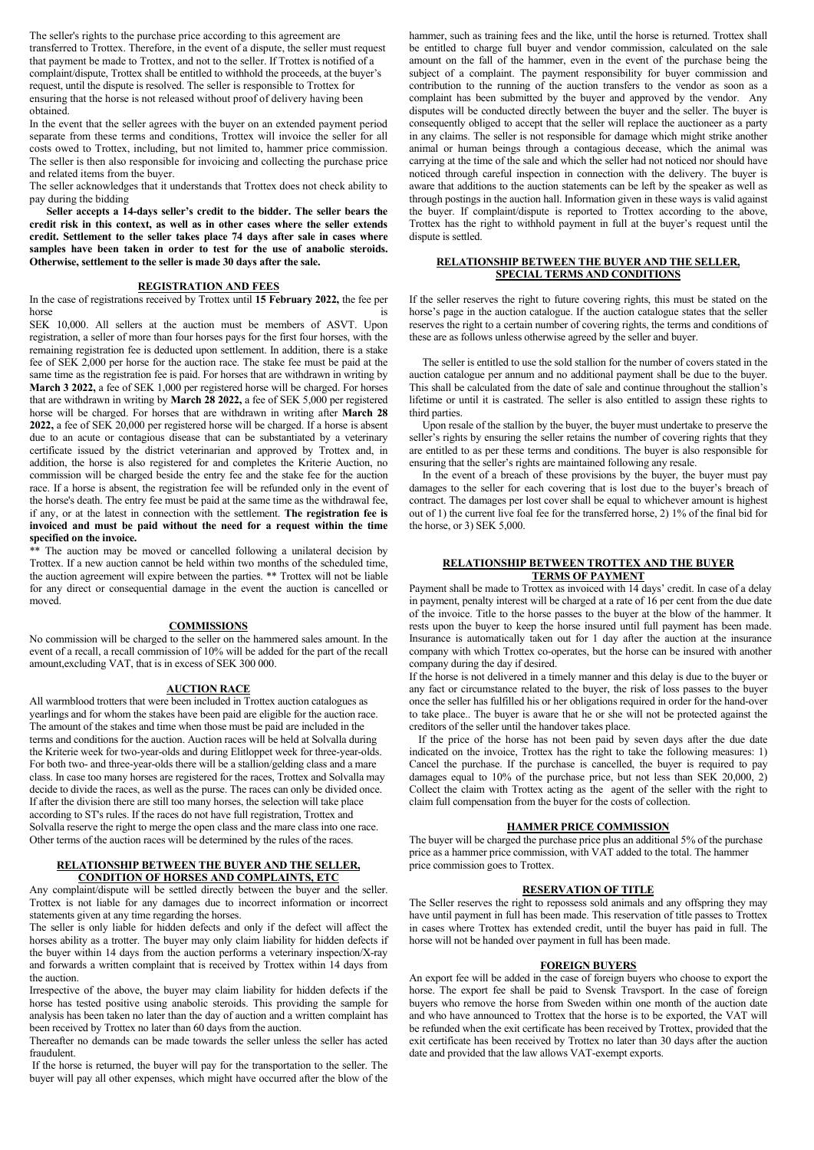The seller's rights to the purchase price according to this agreement are transferred to Trottex. Therefore, in the event of a dispute, the seller must request that payment be made to Trottex, and not to the seller. If Trottex is notified of a complaint/dispute, Trottex shall be entitled to withhold the proceeds, at the buyer's request, until the dispute is resolved. The seller is responsible to Trottex for ensuring that the horse is not released without proof of delivery having been obtained.

In the event that the seller agrees with the buyer on an extended payment period separate from these terms and conditions, Trottex will invoice the seller for all costs owed to Trottex, including, but not limited to, hammer price commission. The seller is then also responsible for invoicing and collecting the purchase price and related items from the buyer.

The seller acknowledges that it understands that Trottex does not check ability to pay during the bidding

**Seller accepts a 14-days seller's credit to the bidder. The seller bears the credit risk in this context, as well as in other cases where the seller extends credit. Settlement to the seller takes place 74 days after sale in cases where samples have been taken in order to test for the use of anabolic steroids. Otherwise, settlement to the seller is made 30 days after the sale.**

## **REGISTRATION AND FEES**

In the case of registrations received by Trottex until **15 February 2022,** the fee per horse is

SEK 10,000. All sellers at the auction must be members of ASVT. Upon registration, a seller of more than four horses pays for the first four horses, with the remaining registration fee is deducted upon settlement. In addition, there is a stake fee of SEK 2,000 per horse for the auction race. The stake fee must be paid at the same time as the registration fee is paid. For horses that are withdrawn in writing by **March 3 2022,** a fee of SEK 1,000 per registered horse will be charged. For horses that are withdrawn in writing by **March 28 2022,** a fee of SEK 5,000 per registered horse will be charged. For horses that are withdrawn in writing after **March 28 2022,** a fee of SEK 20,000 per registered horse will be charged. If a horse is absent due to an acute or contagious disease that can be substantiated by a veterinary certificate issued by the district veterinarian and approved by Trottex and, in addition, the horse is also registered for and completes the Kriterie Auction, no commission will be charged beside the entry fee and the stake fee for the auction race. If a horse is absent, the registration fee will be refunded only in the event of the horse's death. The entry fee must be paid at the same time as the withdrawal fee, if any, or at the latest in connection with the settlement. **The registration fee is invoiced and must be paid without the need for a request within the time specified on the invoice.** 

\* The auction may be moved or cancelled following a unilateral decision by Trottex. If a new auction cannot be held within two months of the scheduled time, the auction agreement will expire between the parties. \*\* Trottex will not be liable for any direct or consequential damage in the event the auction is cancelled or moved.

#### **COMMISSIONS**

No commission will be charged to the seller on the hammered sales amount. In the event of a recall, a recall commission of 10% will be added for the part of the recall amount,excluding VAT, that is in excess of SEK 300 000.

#### **AUCTION RACE**

All warmblood trotters that were been included in Trottex auction catalogues as yearlings and for whom the stakes have been paid are eligible for the auction race. The amount of the stakes and time when those must be paid are included in the terms and conditions for the auction. Auction races will be held at Solvalla during the Kriterie week for two-year-olds and during Elitloppet week for three-year-olds. For both two- and three-year-olds there will be a stallion/gelding class and a mare class. In case too many horses are registered for the races, Trottex and Solvalla may decide to divide the races, as well as the purse. The races can only be divided once. If after the division there are still too many horses, the selection will take place according to ST's rules. If the races do not have full registration, Trottex and Solvalla reserve the right to merge the open class and the mare class into one race. Other terms of the auction races will be determined by the rules of the races.

#### **RELATIONSHIP BETWEEN THE BUYER AND THE SELLER, CONDITION OF HORSES AND COMPLAINTS, ETC**

Any complaint/dispute will be settled directly between the buyer and the seller. Trottex is not liable for any damages due to incorrect information or incorrect statements given at any time regarding the horses.

The seller is only liable for hidden defects and only if the defect will affect the horses ability as a trotter. The buyer may only claim liability for hidden defects if the buyer within 14 days from the auction performs a veterinary inspection/X-ray and forwards a written complaint that is received by Trottex within 14 days from the auction.

Irrespective of the above, the buyer may claim liability for hidden defects if the horse has tested positive using anabolic steroids. This providing the sample for analysis has been taken no later than the day of auction and a written complaint has been received by Trottex no later than 60 days from the auction.

Thereafter no demands can be made towards the seller unless the seller has acted fraudulent.

If the horse is returned, the buyer will pay for the transportation to the seller. The buyer will pay all other expenses, which might have occurred after the blow of the hammer, such as training fees and the like, until the horse is returned. Trottex shall be entitled to charge full buyer and vendor commission, calculated on the sale amount on the fall of the hammer, even in the event of the purchase being the subject of a complaint. The payment responsibility for buyer commission and contribution to the running of the auction transfers to the vendor as soon as a complaint has been submitted by the buyer and approved by the vendor. Any disputes will be conducted directly between the buyer and the seller. The buyer is consequently obliged to accept that the seller will replace the auctioneer as a party in any claims. The seller is not responsible for damage which might strike another animal or human beings through a contagious decease, which the animal was carrying at the time of the sale and which the seller had not noticed nor should have noticed through careful inspection in connection with the delivery. The buyer is aware that additions to the auction statements can be left by the speaker as well as through postings in the auction hall. Information given in these ways is valid against the buyer. If complaint/dispute is reported to Trottex according to the above, Trottex has the right to withhold payment in full at the buyer's request until the dispute is settled.

## **RELATIONSHIP BETWEEN THE BUYER AND THE SELLER, SPECIAL TERMS AND CONDITIONS**

If the seller reserves the right to future covering rights, this must be stated on the horse's page in the auction catalogue. If the auction catalogue states that the seller reserves the right to a certain number of covering rights, the terms and conditions of these are as follows unless otherwise agreed by the seller and buyer.

 The seller is entitled to use the sold stallion for the number of covers stated in the auction catalogue per annum and no additional payment shall be due to the buyer. This shall be calculated from the date of sale and continue throughout the stallion's lifetime or until it is castrated. The seller is also entitled to assign these rights to third parties.

 Upon resale of the stallion by the buyer, the buyer must undertake to preserve the seller's rights by ensuring the seller retains the number of covering rights that they are entitled to as per these terms and conditions. The buyer is also responsible for ensuring that the seller's rights are maintained following any resale.

In the event of a breach of these provisions by the buyer, the buyer must pay damages to the seller for each covering that is lost due to the buyer's breach of contract. The damages per lost cover shall be equal to whichever amount is highest out of 1) the current live foal fee for the transferred horse, 2) 1% of the final bid for the horse, or 3) SEK 5,000.

## **RELATIONSHIP BETWEEN TROTTEX AND THE BUYER TERMS OF PAYMENT**

Payment shall be made to Trottex as invoiced with 14 days' credit. In case of a delay in payment, penalty interest will be charged at a rate of 16 per cent from the due date of the invoice. Title to the horse passes to the buyer at the blow of the hammer. It rests upon the buyer to keep the horse insured until full payment has been made. Insurance is automatically taken out for 1 day after the auction at the insurance company with which Trottex co-operates, but the horse can be insured with another company during the day if desired.

If the horse is not delivered in a timely manner and this delay is due to the buyer or any fact or circumstance related to the buyer, the risk of loss passes to the buyer once the seller has fulfilled his or her obligations required in order for the hand-over to take place.. The buyer is aware that he or she will not be protected against the creditors of the seller until the handover takes place.

If the price of the horse has not been paid by seven days after the due date indicated on the invoice, Trottex has the right to take the following measures: 1) Cancel the purchase. If the purchase is cancelled, the buyer is required to pay damages equal to 10% of the purchase price, but not less than SEK 20,000, 2) Collect the claim with Trottex acting as the agent of the seller with the right to claim full compensation from the buyer for the costs of collection.

#### **HAMMER PRICE COMMISSION**

The buyer will be charged the purchase price plus an additional 5% of the purchase price as a hammer price commission, with VAT added to the total. The hammer price commission goes to Trottex.

# **RESERVATION OF TITLE**

The Seller reserves the right to repossess sold animals and any offspring they may have until payment in full has been made. This reservation of title passes to Trottex in cases where Trottex has extended credit, until the buyer has paid in full. The horse will not be handed over payment in full has been made.

#### **FOREIGN BUYERS**

An export fee will be added in the case of foreign buyers who choose to export the horse. The export fee shall be paid to Svensk Travsport. In the case of foreign buyers who remove the horse from Sweden within one month of the auction date and who have announced to Trottex that the horse is to be exported, the VAT will be refunded when the exit certificate has been received by Trottex, provided that the exit certificate has been received by Trottex no later than 30 days after the auction date and provided that the law allows VAT-exempt exports.